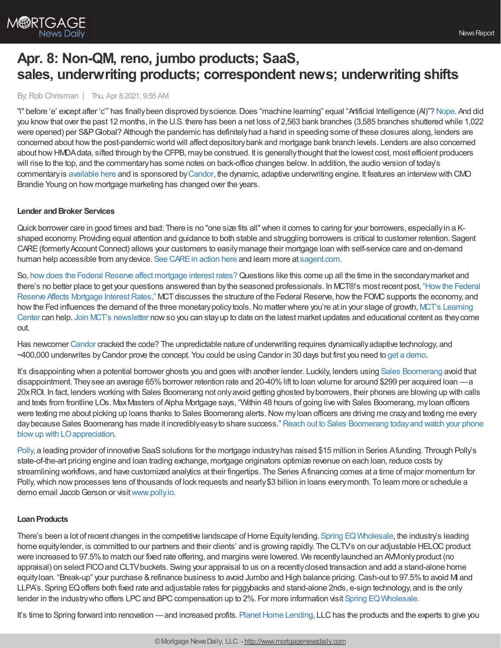

# **Apr. 8: Non-QM, reno, jumbo products; SaaS, sales, underwriting products; correspondent news; underwriting shifts**

By:Rob Chrisman | Thu, Apr 8 2021, 9:55 AM

"i" before 'e' except after 'c'" has finally been disproved by science. Does "machine learning" equal "Artificial Intelligence (AI)"? [Nope.](https://spectrum.ieee.org/the-institute/ieee-member-news/stop-calling-everything-ai-machinelearning-pioneer-says) And did you knowthat over the past 12 months, in the U.S. there has been a net loss of 2,563 bank branches (3,585 branches shuttered while 1,022 were opened) per S&P Global? Although the pandemic has definitely had a hand in speeding some of these closures along, lenders are concerned about howthe post-pandemicworld will affect depositorybank and mortgage bank branch levels. Lenders are also concerned about howHMDAdata, sifted through bythe CFPB, maybe construed. It is generallythought that the lowest cost, most efficient producers will rise to the top, and the commentary has some notes on back-office changes below. In addition, the audio version of today's commentaryis [available](https://linktr.ee/dailymortgagenews) here and is sponsored by[Candor](https://candortechnology.com/rchrisman-podcast), the dynamic, adaptive underwriting engine. It features an interviewwith CMO Brandie Young on how mortgage marketing has changed over the years.

# **Lender andBroker Services**

Quick borrower care in good times and bad: There is no "one size fits all"when it comes to caring for your borrowers, especiallyin a Kshaped economy. Providing equal attention and guidance to both stable and struggling borrowers is critical to customer retention. Sagent CARE (formerly Account Connect) allows your customers to easily manage their mortgage loan with self-service care and on-demand human help accessible from anydevice. See [CAREin](https://info.sagent.com/homeownerhardship) action here and learn more at [sagent.com.](https://sagent.com/products/care/)

So, how does the Federal Reserve affect [mortgage](https://mct-trading.com/how-federal-reserve-affects-mortgage-interest-rates/?utm_source=Chrisman%20Blurb%204.8.21&utm_medium=Chrisman&utm_campaign=Federal%20Reserve%20Affects%20Mortgage%20Rates%20Blog) interest rates? Questions like this come up all the time in the secondary market and there's no better place to get your questions answered than bythe seasoned professionals. In MCT®'s most recent post, "Howthe Federal Reserve Affects Mortgage Interest Rates," MCT discusses the structure of the Federal Reserve, how the FOMC supports the economy, and how the Fed influences the demand of the three monetary policy tools. No matter where you're at in your stage of growth, MCT's Learning Center can help. Join MCT's [newsletter](https://mct-trading.com/?utm_source=Chrisman%20Blurb%204.8.21&utm_medium=Chrisman&utm_campaign=Federal%20Reserve%20Affects%20Mortgage%20Rates%20Blog#join) nowso you can stayup to date on the latest market updates and educational content as theycome out.

Has newcomer [Candor](http://www.candortechnology.com/chrisman-daily-0408) cracked the code? The unpredictable nature of underwriting requires dynamicallyadaptive technology, and ~400,000 underwrites byCandor prove the concept. You could be using Candor in 30 days but first you need to get a [demo](http://www.candortechnology.com/chrisman-daily-0408).

It's disappointing when a potential borrower ghosts you and goes with another lender. Luckily, lenders using Sales [Boomerang](https://hubs.ly/H0KCQHS0) avoid that disappointment. They see an average 65% borrower retention rate and 20-40% lift to loan volume for around \$299 per acquired loan —a 20xROI. In fact, lenders working with Sales Boomerang not onlyavoid getting ghosted byborrowers, their phones are blowing up with calls and texts from frontline LOs. MaxMasters of Alpha Mortgage says, "Within 48 hours of going live with Sales Boomerang, myloan officers were texting me about picking up loans thanks to Sales Boomerang alerts. Now my loan officers are driving me crazy and texting me every day because Sales Boomerang has made it incredibly easy to share success." Reach out to Sales Boomerang today and watch your phone blowup with LOappreciation.

[Polly](http://www.polly.io/), a leading provider of innovative SaaS solutions for the mortgage industry has raised \$15 million in Series Afunding. Through Polly's state-of-the-art pricing engine and loan trading exchange, mortgage originators optimize revenue on each loan, reduce costs by streamlining workflows, and have customized analytics at their fingertips. The Series Afinancing comes at a time of major momentum for Polly, which now processes tens of thousands of lock requests and nearly \$3 billion in loans every month. To learn more or schedule a demo email Jacob Gerson or visit [www.polly.io](http://www.pollyex.com/).

# **LoanProducts**

There's been a lot of recent changes in the competitive landscape of Home Equitylending. Spring EQ Wholesale, the industry's leading home equity lender, is committed to our partners and their clients' and is growing rapidly. The CLTVs on our adjustable HELOC product were increased to 97.5% to match our fixed rate offering, and margins were lowered. We recently launched an AVMonly product (no appraisal) on select FICOand CLTVbuckets. Swing your appraisal to us on a recentlyclosed transaction and add a stand-alone home equityloan. "Break-up" your purchase & refinance business to avoid Jumbo and High balance pricing. Cash-out to 97.5% to avoid M and LLPA's. Spring EQoffers both fixed rate and adjustable rates for piggybacks and stand-alone 2nds, e-sign technology, and is the only lender in the industrywho offers LPC and BPC compensation up to 2%. For more information visit Spring EQ Wholesale.

It's time to Spring forward into renovation —and increased profits. Planet Home Lending, LLC has the products and the experts to give you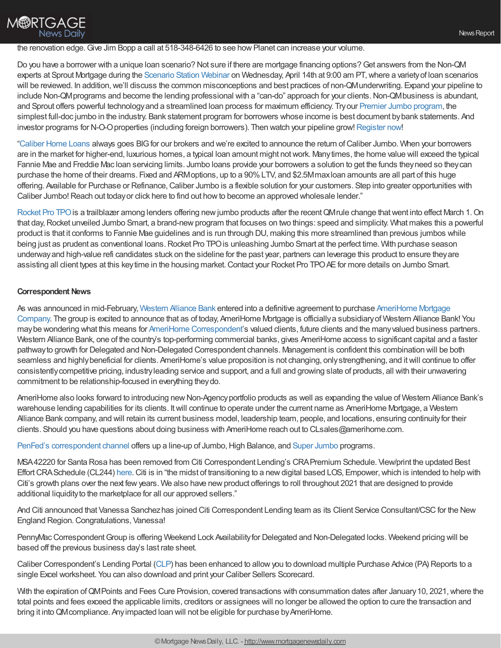#### the renovation edge. Give Jim Bopp a call at 518-348-6426 to see how Planet can increase your volume.

Do you have a borrower with a unique loan scenario? Not sure if there are mortgage financing options?Get answers from the Non-QM experts at Sprout Mortgage during the [Scenario](https://register.gotowebinar.com/register/7462380333965429776) Station Webinar on Wednesday, April 14th at 9:00 am PT, where a variety of Ioan scenarios will be reviewed. In addition, we'll discuss the common misconceptions and best practices of non-QMunderwriting. Expand your pipeline to include Non-QM programs and become the lending professional with a "can-do" approach for your clients. Non-QM business is abundant, and Sprout offers powerful technologyand a streamlined loan process for maximum efficiency. Tryour Premier Jumbo [program,](https://www.sproutmortgage.com/loan-programs/sp-e1-premier-jumbo-full-doc) the simplest full-doc jumbo in the industry. Bank statement program for borrowers whose income is best document bybank statements. And investor programs for N-O-Oproperties (including foreign borrowers). Then watch your pipeline grow! [Register](https://register.gotowebinar.com/register/7462380333965429776) now!

["Caliber](https://recruiting.adp.com/srccar/public/RTI.home?d=ExternalCaliberHomeLoans&_icx=v02Pg0E8dry77as%252F53w4AJaa70NZw%252Fw8fF8hbFO1EF85wLt9DxjYJuzTaiz3cC3bUG0&c=1060341&_dissimuloSSO=k81IQ_xGY14:XQC7YMN_-Mx6DdXOyW3KVTQohAw) Home Loans always goes BIGfor our brokers and we're excited to announce the return ofCaliber Jumbo. When your borrowers are in the market for higher-end, luxurious homes, a typical loan amount might notwork. Manytimes, the home value will exceed the typical Fannie Mae and Freddie Mac loan servicing limits. Jumbo loans provide your borrowers a solution to get the funds they need so they can purchase the home of their dreams. Fixed and ARMoptions, up to a 90%LTV, and \$2.5Mmaxloan amounts are all part of this huge offering. Available for Purchase or Refinance,Caliber Jumbo is a flexible solution for your customers. Step into greater opportunities with Caliber Jumbo! Reach out today or click here to find out how to become an approved wholesale lender."

[Rocket](http://rocketprotpo.com/) Pro TPO is a trailblazer among lenders offering new jumbo products after the recent QM rule change that went into effect March 1. On that day, Rocket unveiled Jumbo Smart, a brand-new program that focuses on two things: speed and simplicity. What makes this a powerful product is that it conforms to Fannie Mae guidelines and is run through DU, making this more streamlined than previous jumbos while being just as prudent as conventional loans. Rocket Pro TPO is unleashing Jumbo Smart at the perfect time. With purchase season underwayand high-value refi candidates stuck on the sideline for the past year, partners can leverage this product to ensure theyare assisting all client types at this key time in the housing market. Contact your Rocket Pro TPO AE for more details on Jumbo Smart.

#### **Correspondent News**

**M®RTGAGE** 

**News Daily** 

As was announced in [mid-February,](https://www.amerihome.com/our-story/) [Western](https://www.westernalliancebancorporation.com/) Alliance Bank entered into a definitive agreement to purchase AmeriHome Mortgage Company. The group is excited to announce that as of today, AmeriHome Mortgage is officiallya subsidiaryof Western Alliance Bank! You maybe wondering what this means for AmeriHome [Correspondent](https://correspondent.amerihome.com/)'s valued clients, future clients and the manyvalued business partners. Western Alliance Bank, one of the country's top-performing commercial banks, gives AmeriHome access to significant capital and a faster pathwayto growth for Delegated and Non-Delegated Correspondent channels. Management is confident this combination will be both seamless and highly beneficial for clients. AmeriHome's value proposition is not changing, only strengthening, and it will continue to offer consistentlycompetitive pricing, industryleading service and support, and a full and growing slate of products, all with their unwavering commitment to be relationship-focused in everything theydo.

AmeriHome also looks forward to introducing new Non-Agency portfolio products as well as expanding the value of Western Alliance Bank's warehouse lending capabilities for its clients. Itwill continue to operate under the current name as AmeriHome Mortgage, a Western Alliance Bank company, and will retain its current business model, leadership team, people, and locations, ensuring continuityfor their clients. Should you have questions about doing business with AmeriHome reach out to CLsales@amerihome.com.

PenFed's [correspondent](http://www.correspondent.penfed.org/) channel offers up a line-up of [Jumbo](https://3839478557.encompasstpoconnect.com/#/content/jumboandhighbalance_196613), High Balance, and Super Jumbo programs.

MSA42220 for Santa Rosa has been removed from Citi Correspondent Lending's CRAPremium Schedule. View/print the updated Best Effort CRASchedule (CL244) [here](http://softvu-private.s3.amazonaws.com/client_9f6807a6dd8847e2a6cda8b96b0ba8b1/CL244_CRA_Premiums_02-05-2021.pdf). Citi is in "the midst of transitioning to a new digital based LOS, Empower, which is intended to help with Citi's growth plans over the next fewyears. We also have newproduct offerings to roll throughout 2021 that are designed to provide additional liquidity to the marketplace for all our approved sellers."

And Citi announced that Vanessa Sanchezhas joined Citi Correspondent Lending team as its Client Service Consultant/CSC for the New England Region.Congratulations, Vanessa!

PennyMac Correspondent Group is offering Weekend Lock Availability for Delegated and Non-Delegated locks. Weekend pricing will be based off the previous business day's last rate sheet.

Caliber Correspondent's Lending Portal [\(CLP](https://www.calibercl.com/default/login?initial-redirect=true)) has been enhanced to allowyou to download multiple Purchase Advice (PA) Reports to a single Excel worksheet. You can also download and print your Caliber Sellers Scorecard.

With the expiration of QMPoints and Fees Cure Provision, covered transactions with consummation dates after January 10, 2021, where the total points and fees exceed the applicable limits, creditors or assignees will no longer be allowed the option to cure the transaction and bring it into QM compliance. Any impacted loan will not be eligible for purchase by AmeriHome.